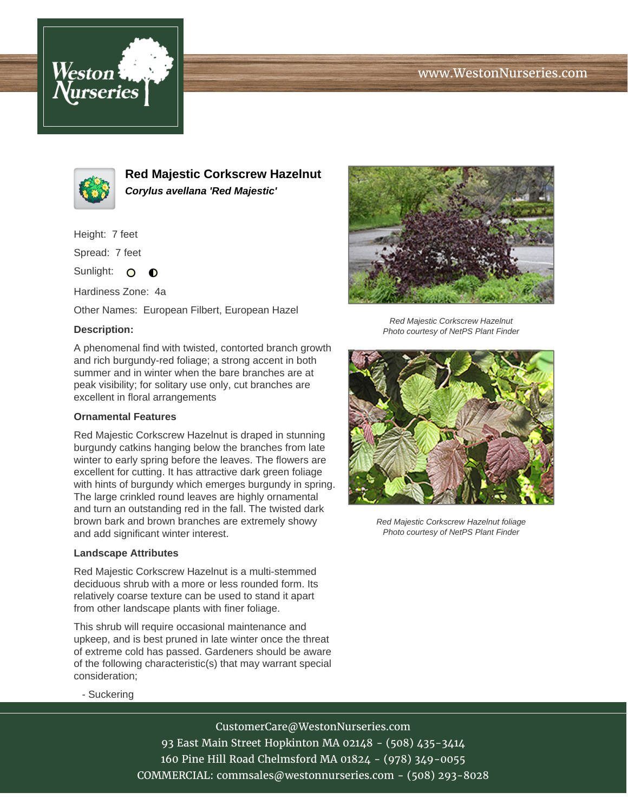



**Red Majestic Corkscrew Hazelnut Corylus avellana 'Red Majestic'**

Height: 7 feet

Spread: 7 feet

Sunlight: O  $\bullet$ 

Hardiness Zone: 4a

Other Names: European Filbert, European Hazel

## **Description:**

A phenomenal find with twisted, contorted branch growth and rich burgundy-red foliage; a strong accent in both summer and in winter when the bare branches are at peak visibility; for solitary use only, cut branches are excellent in floral arrangements

## **Ornamental Features**

Red Majestic Corkscrew Hazelnut is draped in stunning burgundy catkins hanging below the branches from late winter to early spring before the leaves. The flowers are excellent for cutting. It has attractive dark green foliage with hints of burgundy which emerges burgundy in spring. The large crinkled round leaves are highly ornamental and turn an outstanding red in the fall. The twisted dark brown bark and brown branches are extremely showy and add significant winter interest.

## **Landscape Attributes**

Red Majestic Corkscrew Hazelnut is a multi-stemmed deciduous shrub with a more or less rounded form. Its relatively coarse texture can be used to stand it apart from other landscape plants with finer foliage.

This shrub will require occasional maintenance and upkeep, and is best pruned in late winter once the threat of extreme cold has passed. Gardeners should be aware of the following characteristic(s) that may warrant special consideration;



Red Majestic Corkscrew Hazelnut Photo courtesy of NetPS Plant Finder



Red Majestic Corkscrew Hazelnut foliage Photo courtesy of NetPS Plant Finder

- Suckering

CustomerCare@WestonNurseries.com 93 East Main Street Hopkinton MA 02148 - (508) 435-3414 160 Pine Hill Road Chelmsford MA 01824 - (978) 349-0055 COMMERCIAL: commsales@westonnurseries.com - (508) 293-8028